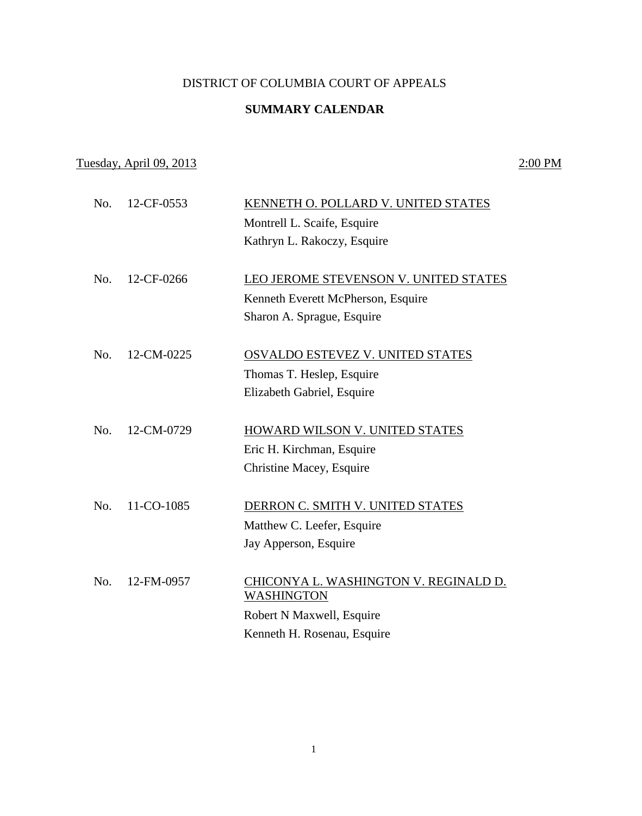## DISTRICT OF COLUMBIA COURT OF APPEALS

## **SUMMARY CALENDAR**

## Tuesday, April 09, 2013 2:00 PM

| No. | 12-CF-0553 | KENNETH O. POLLARD V. UNITED STATES   |
|-----|------------|---------------------------------------|
|     |            | Montrell L. Scaife, Esquire           |
|     |            | Kathryn L. Rakoczy, Esquire           |
|     |            |                                       |
| No. | 12-CF-0266 | LEO JEROME STEVENSON V. UNITED STATES |
|     |            | Kenneth Everett McPherson, Esquire    |
|     |            | Sharon A. Sprague, Esquire            |
|     |            |                                       |
| No. | 12-CM-0225 | OSVALDO ESTEVEZ V. UNITED STATES      |
|     |            | Thomas T. Heslep, Esquire             |
|     |            | Elizabeth Gabriel, Esquire            |
|     |            |                                       |
| No. | 12-CM-0729 | HOWARD WILSON V. UNITED STATES        |
|     |            | Eric H. Kirchman, Esquire             |
|     |            | Christine Macey, Esquire              |
| No. | 11-CO-1085 | DERRON C. SMITH V. UNITED STATES      |
|     |            |                                       |
|     |            | Matthew C. Leefer, Esquire            |
|     |            | Jay Apperson, Esquire                 |
| No. | 12-FM-0957 | CHICONYA L. WASHINGTON V. REGINALD D. |
|     |            | <b>WASHINGTON</b>                     |
|     |            | Robert N Maxwell, Esquire             |
|     |            | Kenneth H. Rosenau, Esquire           |
|     |            |                                       |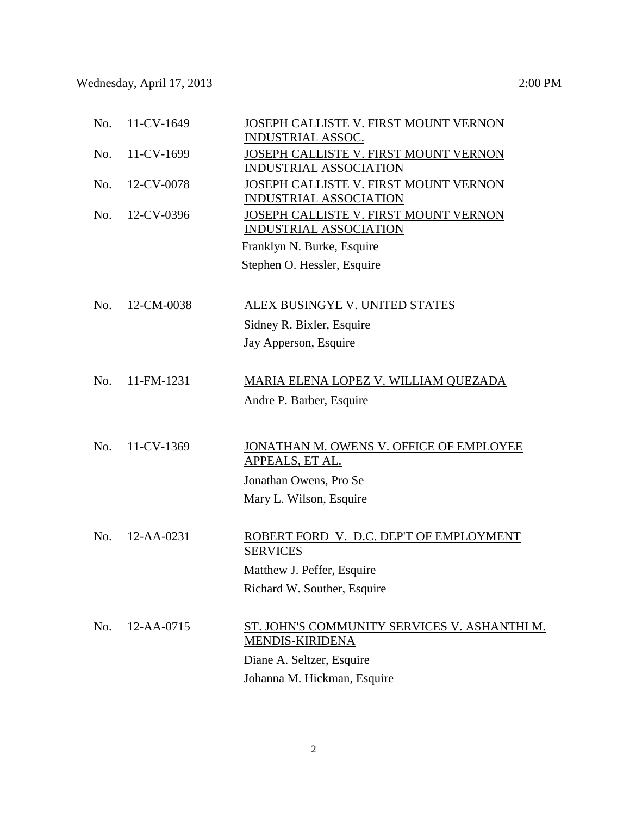| No. | 11-CV-1649 | JOSEPH CALLISTE V. FIRST MOUNT VERNON<br><b>INDUSTRIAL ASSOC.</b>      |
|-----|------------|------------------------------------------------------------------------|
| No. | 11-CV-1699 | JOSEPH CALLISTE V. FIRST MOUNT VERNON                                  |
|     |            | <b>INDUSTRIAL ASSOCIATION</b>                                          |
| No. | 12-CV-0078 | JOSEPH CALLISTE V. FIRST MOUNT VERNON                                  |
|     | 12-CV-0396 | <b>INDUSTRIAL ASSOCIATION</b>                                          |
| No. |            | JOSEPH CALLISTE V. FIRST MOUNT VERNON<br><b>INDUSTRIAL ASSOCIATION</b> |
|     |            | Franklyn N. Burke, Esquire                                             |
|     |            | Stephen O. Hessler, Esquire                                            |
|     |            |                                                                        |
| No. | 12-CM-0038 | ALEX BUSINGYE V. UNITED STATES                                         |
|     |            | Sidney R. Bixler, Esquire                                              |
|     |            | Jay Apperson, Esquire                                                  |
|     |            |                                                                        |
| No. | 11-FM-1231 | MARIA ELENA LOPEZ V. WILLIAM QUEZADA                                   |
|     |            | Andre P. Barber, Esquire                                               |
|     |            |                                                                        |
| No. | 11-CV-1369 | JONATHAN M. OWENS V. OFFICE OF EMPLOYEE                                |
|     |            | APPEALS, ET AL.                                                        |
|     |            | Jonathan Owens, Pro Se                                                 |
|     |            | Mary L. Wilson, Esquire                                                |
|     |            |                                                                        |
| No. | 12-AA-0231 | ROBERT FORD V. D.C. DEP'T OF EMPLOYMENT                                |
|     |            | <b>SERVICES</b>                                                        |
|     |            | Matthew J. Peffer, Esquire                                             |
|     |            | Richard W. Souther, Esquire                                            |
|     |            |                                                                        |
| No. | 12-AA-0715 | ST. JOHN'S COMMUNITY SERVICES V. ASHANTHI M.                           |
|     |            | <b>MENDIS-KIRIDENA</b>                                                 |
|     |            | Diane A. Seltzer, Esquire                                              |
|     |            | Johanna M. Hickman, Esquire                                            |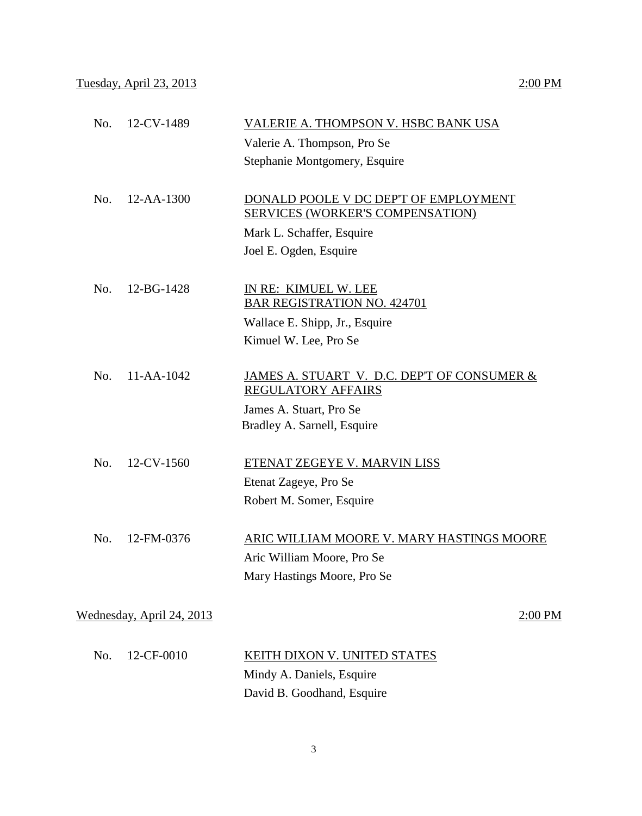| No. | 12-CV-1489                | VALERIE A. THOMPSON V. HSBC BANK USA                                     |
|-----|---------------------------|--------------------------------------------------------------------------|
|     |                           | Valerie A. Thompson, Pro Se                                              |
|     |                           | Stephanie Montgomery, Esquire                                            |
|     |                           |                                                                          |
| No. | 12-AA-1300                | DONALD POOLE V DC DEP'T OF EMPLOYMENT                                    |
|     |                           | SERVICES (WORKER'S COMPENSATION)                                         |
|     |                           | Mark L. Schaffer, Esquire                                                |
|     |                           | Joel E. Ogden, Esquire                                                   |
|     |                           |                                                                          |
| No. | 12-BG-1428                | IN RE: KIMUEL W. LEE<br><b>BAR REGISTRATION NO. 424701</b>               |
|     |                           | Wallace E. Shipp, Jr., Esquire                                           |
|     |                           | Kimuel W. Lee, Pro Se                                                    |
|     |                           |                                                                          |
| No. | $11 - AA - 1042$          | JAMES A. STUART V. D.C. DEP'T OF CONSUMER &<br><b>REGULATORY AFFAIRS</b> |
|     |                           | James A. Stuart, Pro Se                                                  |
|     |                           | Bradley A. Sarnell, Esquire                                              |
|     |                           |                                                                          |
| No. | 12-CV-1560                | ETENAT ZEGEYE V. MARVIN LISS                                             |
|     |                           | Etenat Zageye, Pro Se                                                    |
|     |                           | Robert M. Somer, Esquire                                                 |
| No. | 12-FM-0376                | ARIC WILLIAM MOORE V. MARY HASTINGS MOORE                                |
|     |                           | Aric William Moore, Pro Se                                               |
|     |                           | Mary Hastings Moore, Pro Se                                              |
|     |                           |                                                                          |
|     | Wednesday, April 24, 2013 | 2:00 PM                                                                  |
|     |                           |                                                                          |
| No. | 12-CF-0010                | <b>KEITH DIXON V. UNITED STATES</b>                                      |
|     |                           | Mindy A. Daniels, Esquire                                                |
|     |                           | David B. Goodhand, Esquire                                               |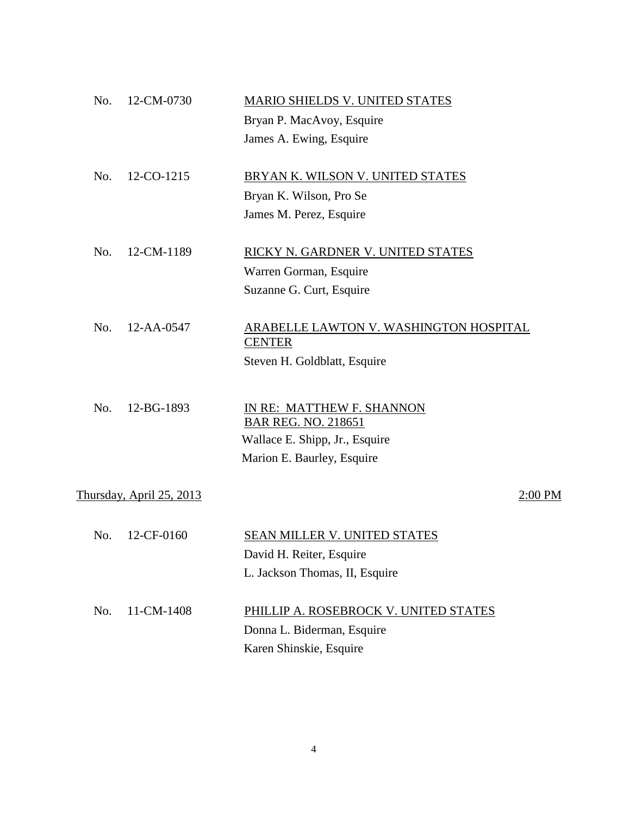| No. | 12-CM-0730                      | MARIO SHIELDS V. UNITED STATES                |         |
|-----|---------------------------------|-----------------------------------------------|---------|
|     |                                 | Bryan P. MacAvoy, Esquire                     |         |
|     |                                 | James A. Ewing, Esquire                       |         |
|     |                                 |                                               |         |
| No. | 12-CO-1215                      | BRYAN K. WILSON V. UNITED STATES              |         |
|     |                                 | Bryan K. Wilson, Pro Se                       |         |
|     |                                 | James M. Perez, Esquire                       |         |
|     |                                 |                                               |         |
| No. | 12-CM-1189                      | RICKY N. GARDNER V. UNITED STATES             |         |
|     |                                 | Warren Gorman, Esquire                        |         |
|     |                                 | Suzanne G. Curt, Esquire                      |         |
| No. | 12-AA-0547                      | <b>ARABELLE LAWTON V. WASHINGTON HOSPITAL</b> |         |
|     |                                 | <b>CENTER</b>                                 |         |
|     |                                 | Steven H. Goldblatt, Esquire                  |         |
|     |                                 |                                               |         |
| No. | 12-BG-1893                      | IN RE: MATTHEW F. SHANNON                     |         |
|     |                                 | <b>BAR REG. NO. 218651</b>                    |         |
|     |                                 | Wallace E. Shipp, Jr., Esquire                |         |
|     |                                 | Marion E. Baurley, Esquire                    |         |
|     | <u>Thursday, April 25, 2013</u> |                                               | 2:00 PM |
|     |                                 |                                               |         |
| No. | 12-CF-0160                      | <b>SEAN MILLER V. UNITED STATES</b>           |         |
|     |                                 | David H. Reiter, Esquire                      |         |
|     |                                 | L. Jackson Thomas, II, Esquire                |         |
|     |                                 |                                               |         |
| No. | 11-CM-1408                      | PHILLIP A. ROSEBROCK V. UNITED STATES         |         |
|     |                                 | Donna L. Biderman, Esquire                    |         |
|     |                                 | Karen Shinskie, Esquire                       |         |